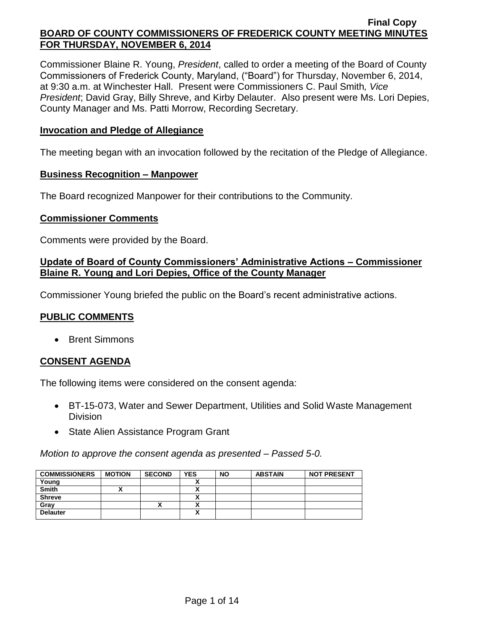Commissioner Blaine R. Young, *President*, called to order a meeting of the Board of County Commissioners of Frederick County, Maryland, ("Board") for Thursday, November 6, 2014, at 9:30 a.m. at Winchester Hall. Present were Commissioners C. Paul Smith*, Vice President*; David Gray, Billy Shreve, and Kirby Delauter. Also present were Ms. Lori Depies, County Manager and Ms. Patti Morrow, Recording Secretary.

### **Invocation and Pledge of Allegiance**

The meeting began with an invocation followed by the recitation of the Pledge of Allegiance.

#### **Business Recognition – Manpower**

The Board recognized Manpower for their contributions to the Community.

### **Commissioner Comments**

Comments were provided by the Board.

## **Update of Board of County Commissioners' Administrative Actions – Commissioner Blaine R. Young and Lori Depies, Office of the County Manager**

Commissioner Young briefed the public on the Board's recent administrative actions.

# **PUBLIC COMMENTS**

Brent Simmons

## **CONSENT AGENDA**

The following items were considered on the consent agenda:

- BT-15-073, Water and Sewer Department, Utilities and Solid Waste Management **Division**
- State Alien Assistance Program Grant

*Motion to approve the consent agenda as presented – Passed 5-0.*

| <b>COMMISSIONERS</b> | <b>MOTION</b> | <b>SECOND</b> | <b>YES</b>               | <b>NO</b> | <b>ABSTAIN</b> | <b>NOT PRESENT</b> |
|----------------------|---------------|---------------|--------------------------|-----------|----------------|--------------------|
| Young                |               |               |                          |           |                |                    |
| <b>Smith</b>         |               |               |                          |           |                |                    |
| <b>Shreve</b>        |               |               |                          |           |                |                    |
| Gray                 |               | ^             |                          |           |                |                    |
| <b>Delauter</b>      |               |               | $\overline{\phantom{a}}$ |           |                |                    |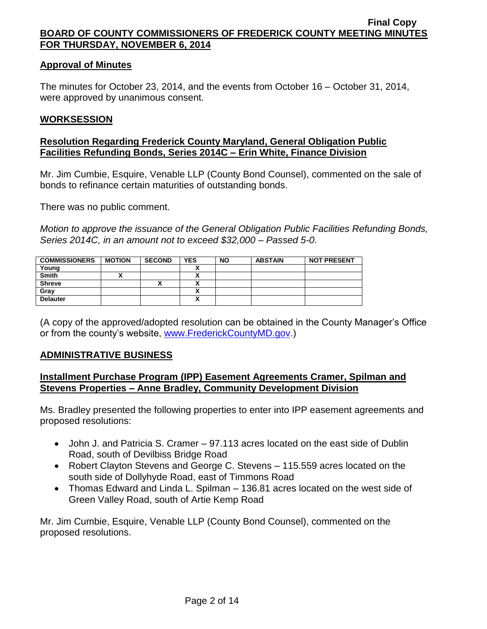### **Approval of Minutes**

The minutes for October 23, 2014, and the events from October 16 – October 31, 2014, were approved by unanimous consent.

#### **WORKSESSION**

### **Resolution Regarding Frederick County Maryland, General Obligation Public Facilities Refunding Bonds, Series 2014C – Erin White, Finance Division**

Mr. Jim Cumbie, Esquire, Venable LLP (County Bond Counsel), commented on the sale of bonds to refinance certain maturities of outstanding bonds.

There was no public comment.

*Motion to approve the issuance of the General Obligation Public Facilities Refunding Bonds, Series 2014C, in an amount not to exceed \$32,000 – Passed 5-0.*

| <b>COMMISSIONERS</b> | <b>MOTION</b> | <b>SECOND</b> | <b>YES</b> | <b>NO</b> | <b>ABSTAIN</b> | <b>NOT PRESENT</b> |
|----------------------|---------------|---------------|------------|-----------|----------------|--------------------|
| Young                |               |               |            |           |                |                    |
| <b>Smith</b>         |               |               |            |           |                |                    |
| <b>Shreve</b>        |               | ^`            |            |           |                |                    |
| Gray                 |               |               |            |           |                |                    |
| <b>Delauter</b>      |               |               | ↗          |           |                |                    |

(A copy of the approved/adopted resolution can be obtained in the County Manager's Office or from the county's website, [www.FrederickCountyMD.gov.](http://www.frederickcountymd.gov/))

#### **ADMINISTRATIVE BUSINESS**

## **Installment Purchase Program (IPP) Easement Agreements Cramer, Spilman and Stevens Properties – Anne Bradley, Community Development Division**

Ms. Bradley presented the following properties to enter into IPP easement agreements and proposed resolutions:

- John J. and Patricia S. Cramer 97.113 acres located on the east side of Dublin Road, south of Devilbiss Bridge Road
- Robert Clayton Stevens and George C. Stevens 115.559 acres located on the south side of Dollyhyde Road, east of Timmons Road
- Thomas Edward and Linda L. Spilman 136.81 acres located on the west side of Green Valley Road, south of Artie Kemp Road

Mr. Jim Cumbie, Esquire, Venable LLP (County Bond Counsel), commented on the proposed resolutions.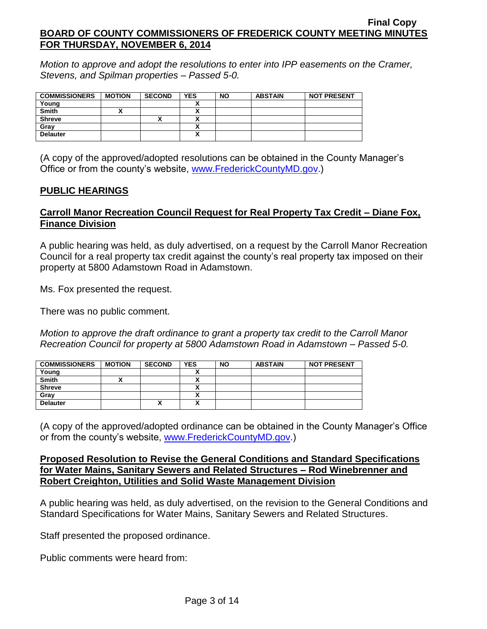*Motion to approve and adopt the resolutions to enter into IPP easements on the Cramer, Stevens, and Spilman properties – Passed 5-0.*

| <b>COMMISSIONERS</b> | <b>MOTION</b> | <b>SECOND</b> | <b>YES</b> | <b>NO</b> | <b>ABSTAIN</b> | <b>NOT PRESENT</b> |
|----------------------|---------------|---------------|------------|-----------|----------------|--------------------|
| Young                |               |               |            |           |                |                    |
| <b>Smith</b>         |               |               |            |           |                |                    |
| <b>Shreve</b>        |               |               |            |           |                |                    |
| Gray                 |               |               | v<br>      |           |                |                    |
| <b>Delauter</b>      |               |               | Λ          |           |                |                    |

(A copy of the approved/adopted resolutions can be obtained in the County Manager's Office or from the county's website, [www.FrederickCountyMD.gov.](http://www.frederickcountymd.gov/))

## **PUBLIC HEARINGS**

# **Carroll Manor Recreation Council Request for Real Property Tax Credit – Diane Fox, Finance Division**

A public hearing was held, as duly advertised, on a request by the Carroll Manor Recreation Council for a real property tax credit against the county's real property tax imposed on their property at 5800 Adamstown Road in Adamstown.

Ms. Fox presented the request.

There was no public comment.

*Motion to approve the draft ordinance to grant a property tax credit to the Carroll Manor Recreation Council for property at 5800 Adamstown Road in Adamstown – Passed 5-0.*

| <b>COMMISSIONERS</b> | <b>MOTION</b> | <b>SECOND</b> | <b>YES</b> | <b>NO</b> | <b>ABSTAIN</b> | <b>NOT PRESENT</b> |
|----------------------|---------------|---------------|------------|-----------|----------------|--------------------|
| Young                |               |               |            |           |                |                    |
| <b>Smith</b>         |               |               |            |           |                |                    |
| <b>Shreve</b>        |               |               |            |           |                |                    |
| Gray                 |               |               |            |           |                |                    |
| <b>Delauter</b>      |               | Λ             | Λ          |           |                |                    |

(A copy of the approved/adopted ordinance can be obtained in the County Manager's Office or from the county's website, [www.FrederickCountyMD.gov.](http://www.frederickcountymd.gov/))

### **Proposed Resolution to Revise the General Conditions and Standard Specifications for Water Mains, Sanitary Sewers and Related Structures – Rod Winebrenner and Robert Creighton, Utilities and Solid Waste Management Division**

A public hearing was held, as duly advertised, on the revision to the General Conditions and Standard Specifications for Water Mains, Sanitary Sewers and Related Structures.

Staff presented the proposed ordinance.

Public comments were heard from: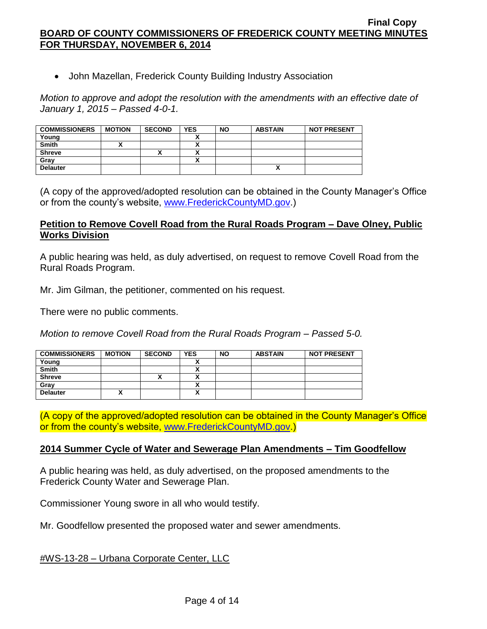John Mazellan, Frederick County Building Industry Association

*Motion to approve and adopt the resolution with the amendments with an effective date of January 1, 2015 – Passed 4-0-1.*

| <b>COMMISSIONERS</b> | <b>MOTION</b> | <b>SECOND</b> | <b>YES</b> | <b>NO</b> | <b>ABSTAIN</b> | <b>NOT PRESENT</b> |
|----------------------|---------------|---------------|------------|-----------|----------------|--------------------|
| Young                |               |               |            |           |                |                    |
| <b>Smith</b>         |               |               |            |           |                |                    |
| <b>Shreve</b>        |               | Λ             |            |           |                |                    |
| Gray                 |               |               |            |           |                |                    |
| <b>Delauter</b>      |               |               |            |           |                |                    |

(A copy of the approved/adopted resolution can be obtained in the County Manager's Office or from the county's website, [www.FrederickCountyMD.gov.](http://www.frederickcountymd.gov/))

### **Petition to Remove Covell Road from the Rural Roads Program – Dave Olney, Public Works Division**

A public hearing was held, as duly advertised, on request to remove Covell Road from the Rural Roads Program.

Mr. Jim Gilman, the petitioner, commented on his request.

There were no public comments.

*Motion to remove Covell Road from the Rural Roads Program – Passed 5-0.*

| <b>COMMISSIONERS</b> | <b>MOTION</b> | <b>SECOND</b> | <b>YES</b> | <b>NO</b> | <b>ABSTAIN</b> | <b>NOT PRESENT</b> |
|----------------------|---------------|---------------|------------|-----------|----------------|--------------------|
| Young                |               |               |            |           |                |                    |
| <b>Smith</b>         |               |               |            |           |                |                    |
| <b>Shreve</b>        |               | Δ             |            |           |                |                    |
| Gray                 |               |               |            |           |                |                    |
| <b>Delauter</b>      |               |               |            |           |                |                    |

(A copy of the approved/adopted resolution can be obtained in the County Manager's Office or from the county's website, [www.FrederickCountyMD.gov.](http://www.frederickcountymd.gov/))

#### **2014 Summer Cycle of Water and Sewerage Plan Amendments – Tim Goodfellow**

A public hearing was held, as duly advertised, on the proposed amendments to the Frederick County Water and Sewerage Plan.

Commissioner Young swore in all who would testify.

Mr. Goodfellow presented the proposed water and sewer amendments.

#WS-13-28 – Urbana Corporate Center, LLC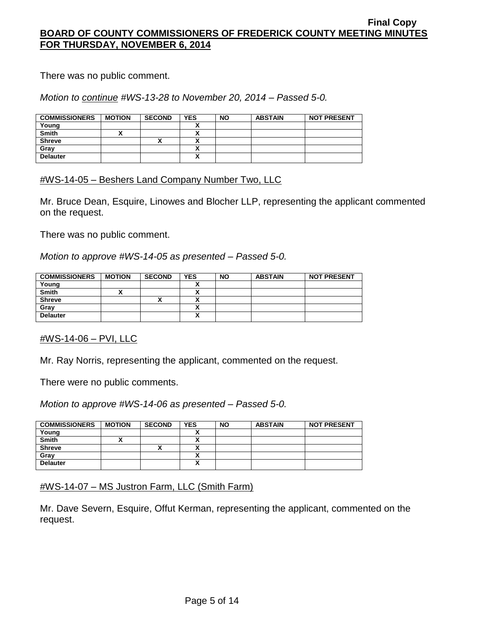There was no public comment.

## *Motion to continue #WS-13-28 to November 20, 2014 – Passed 5-0.*

| <b>COMMISSIONERS</b> | <b>MOTION</b> | <b>SECOND</b> | <b>YES</b> | <b>NO</b> | <b>ABSTAIN</b> | <b>NOT PRESENT</b> |
|----------------------|---------------|---------------|------------|-----------|----------------|--------------------|
| Young                |               |               |            |           |                |                    |
| <b>Smith</b>         |               |               |            |           |                |                    |
| <b>Shreve</b>        |               |               |            |           |                |                    |
| Gray                 |               |               |            |           |                |                    |
| <b>Delauter</b>      |               |               | ~          |           |                |                    |

## #WS-14-05 – Beshers Land Company Number Two, LLC

Mr. Bruce Dean, Esquire, Linowes and Blocher LLP, representing the applicant commented on the request.

There was no public comment.

*Motion to approve #WS-14-05 as presented – Passed 5-0.*

| <b>COMMISSIONERS</b> | <b>MOTION</b> | <b>SECOND</b> | <b>YES</b> | <b>NO</b> | <b>ABSTAIN</b> | <b>NOT PRESENT</b> |
|----------------------|---------------|---------------|------------|-----------|----------------|--------------------|
| Young                |               |               |            |           |                |                    |
| <b>Smith</b>         |               |               |            |           |                |                    |
| <b>Shreve</b>        |               |               |            |           |                |                    |
| Gray                 |               |               |            |           |                |                    |
| <b>Delauter</b>      |               |               | ~          |           |                |                    |

#### #WS-14-06 – PVI, LLC

Mr. Ray Norris, representing the applicant, commented on the request.

There were no public comments.

*Motion to approve #WS-14-06 as presented – Passed 5-0.*

| <b>COMMISSIONERS</b> | <b>MOTION</b> | <b>SECOND</b> | <b>YES</b> | <b>NO</b> | <b>ABSTAIN</b> | <b>NOT PRESENT</b> |
|----------------------|---------------|---------------|------------|-----------|----------------|--------------------|
| Young                |               |               |            |           |                |                    |
| <b>Smith</b>         |               |               | v          |           |                |                    |
| <b>Shreve</b>        |               | Λ             |            |           |                |                    |
| Gray                 |               |               |            |           |                |                    |
| <b>Delauter</b>      |               |               | v<br>Λ     |           |                |                    |

## #WS-14-07 – MS Justron Farm, LLC (Smith Farm)

Mr. Dave Severn, Esquire, Offut Kerman, representing the applicant, commented on the request.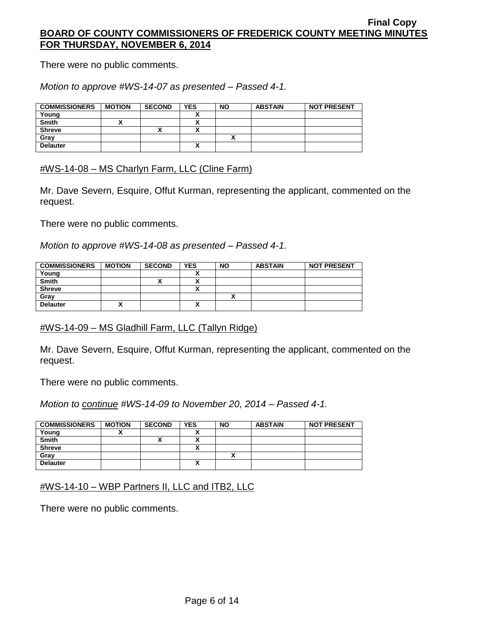There were no public comments.

*Motion to approve #WS-14-07 as presented – Passed 4-1.*

| <b>COMMISSIONERS</b> | <b>MOTION</b> | <b>SECOND</b> | <b>YES</b> | <b>NO</b> | <b>ABSTAIN</b> | <b>NOT PRESENT</b> |
|----------------------|---------------|---------------|------------|-----------|----------------|--------------------|
| Young                |               |               |            |           |                |                    |
| <b>Smith</b>         |               |               |            |           |                |                    |
| <b>Shreve</b>        |               | ^             |            |           |                |                    |
| Gray                 |               |               |            |           |                |                    |
| <b>Delauter</b>      |               |               |            |           |                |                    |

#WS-14-08 – MS Charlyn Farm, LLC (Cline Farm)

Mr. Dave Severn, Esquire, Offut Kurman, representing the applicant, commented on the request.

There were no public comments.

*Motion to approve #WS-14-08 as presented – Passed 4-1.*

| <b>COMMISSIONERS</b> | <b>MOTION</b> | <b>SECOND</b> | <b>YES</b> | <b>NO</b> | <b>ABSTAIN</b> | <b>NOT PRESENT</b> |
|----------------------|---------------|---------------|------------|-----------|----------------|--------------------|
| Young                |               |               |            |           |                |                    |
| <b>Smith</b>         |               |               |            |           |                |                    |
| <b>Shreve</b>        |               |               |            |           |                |                    |
| Gray                 |               |               |            |           |                |                    |
| <b>Delauter</b>      | ~             |               | ^          |           |                |                    |

## #WS-14-09 – MS Gladhill Farm, LLC (Tallyn Ridge)

Mr. Dave Severn, Esquire, Offut Kurman, representing the applicant, commented on the request.

There were no public comments.

*Motion to continue #WS-14-09 to November 20, 2014 – Passed 4-1.*

| <b>COMMISSIONERS</b> | <b>MOTION</b> | <b>SECOND</b> | <b>YES</b> | <b>NO</b> | <b>ABSTAIN</b> | <b>NOT PRESENT</b> |
|----------------------|---------------|---------------|------------|-----------|----------------|--------------------|
| Young                |               |               |            |           |                |                    |
| <b>Smith</b>         |               | ^             |            |           |                |                    |
| <b>Shreve</b>        |               |               | ~          |           |                |                    |
| Gray                 |               |               |            |           |                |                    |
| <b>Delauter</b>      |               |               | v          |           |                |                    |

## #WS-14-10 – WBP Partners II, LLC and ITB2, LLC

There were no public comments.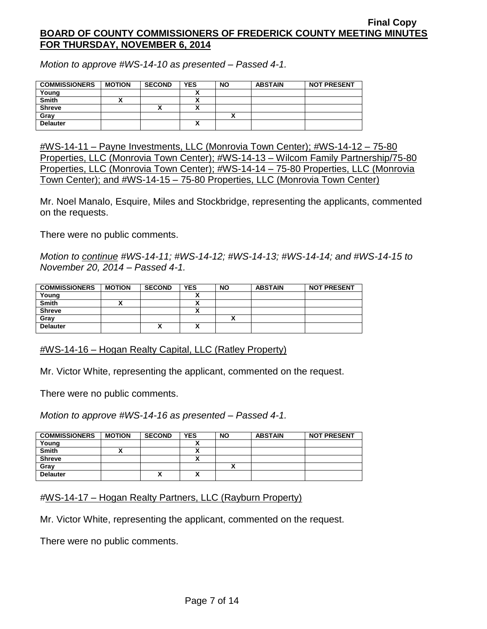*Motion to approve #WS-14-10 as presented – Passed 4-1.*

| <b>COMMISSIONERS</b> | <b>MOTION</b> | <b>SECOND</b> | <b>YES</b> | <b>NO</b> | <b>ABSTAIN</b> | <b>NOT PRESENT</b> |
|----------------------|---------------|---------------|------------|-----------|----------------|--------------------|
| Young                |               |               |            |           |                |                    |
| <b>Smith</b>         |               |               |            |           |                |                    |
| <b>Shreve</b>        |               |               |            |           |                |                    |
| Grav                 |               |               |            |           |                |                    |
| <b>Delauter</b>      |               |               | Λ          |           |                |                    |

#WS-14-11 – Payne Investments, LLC (Monrovia Town Center); #WS-14-12 – 75-80 Properties, LLC (Monrovia Town Center); #WS-14-13 – Wilcom Family Partnership/75-80 Properties, LLC (Monrovia Town Center); #WS-14-14 – 75-80 Properties, LLC (Monrovia Town Center); and #WS-14-15 – 75-80 Properties, LLC (Monrovia Town Center)

Mr. Noel Manalo, Esquire, Miles and Stockbridge, representing the applicants, commented on the requests.

There were no public comments.

*Motion to continue #WS-14-11; #WS-14-12; #WS-14-13; #WS-14-14; and #WS-14-15 to November 20, 2014 – Passed 4-1.*

| <b>COMMISSIONERS</b> | <b>MOTION</b> | <b>SECOND</b> | <b>YES</b> | <b>NO</b> | <b>ABSTAIN</b> | <b>NOT PRESENT</b> |
|----------------------|---------------|---------------|------------|-----------|----------------|--------------------|
| Young                |               |               |            |           |                |                    |
| <b>Smith</b>         |               |               |            |           |                |                    |
| <b>Shreve</b>        |               |               |            |           |                |                    |
| Gray                 |               |               |            |           |                |                    |
| <b>Delauter</b>      |               |               | ^          |           |                |                    |

#WS-14-16 – Hogan Realty Capital, LLC (Ratley Property)

Mr. Victor White, representing the applicant, commented on the request.

There were no public comments.

*Motion to approve #WS-14-16 as presented – Passed 4-1.*

| <b>COMMISSIONERS</b> | <b>MOTION</b> | <b>SECOND</b> | <b>YES</b> | <b>NO</b> | <b>ABSTAIN</b> | <b>NOT PRESENT</b> |
|----------------------|---------------|---------------|------------|-----------|----------------|--------------------|
| Young                |               |               |            |           |                |                    |
| <b>Smith</b>         |               |               |            |           |                |                    |
| <b>Shreve</b>        |               |               |            |           |                |                    |
| Gray                 |               |               |            |           |                |                    |
| <b>Delauter</b>      |               | Λ             | A          |           |                |                    |

*#*WS-14-17 – Hogan Realty Partners, LLC (Rayburn Property)

Mr. Victor White, representing the applicant, commented on the request.

There were no public comments.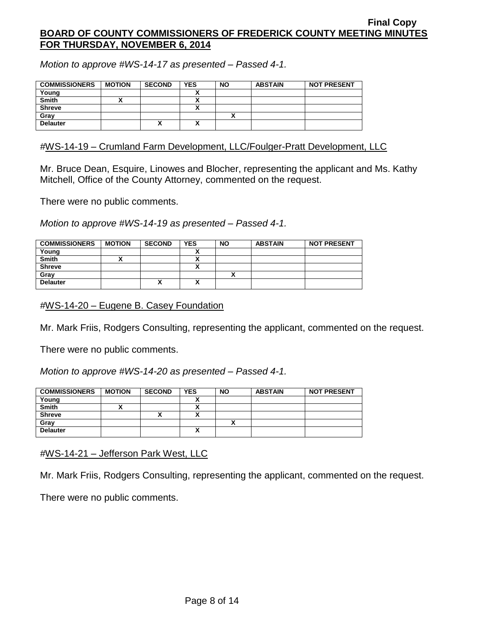*Motion to approve #WS-14-17 as presented – Passed 4-1.*

| <b>COMMISSIONERS</b> | <b>MOTION</b> | <b>SECOND</b> | <b>YES</b> | <b>NO</b> | <b>ABSTAIN</b> | <b>NOT PRESENT</b> |
|----------------------|---------------|---------------|------------|-----------|----------------|--------------------|
| Young                |               |               |            |           |                |                    |
| <b>Smith</b>         |               |               |            |           |                |                    |
| <b>Shreve</b>        |               |               |            |           |                |                    |
| Gray                 |               |               |            |           |                |                    |
| <b>Delauter</b>      |               | ́             | A          |           |                |                    |

### *#*WS-14-19 – Crumland Farm Development, LLC/Foulger-Pratt Development, LLC

Mr. Bruce Dean, Esquire, Linowes and Blocher, representing the applicant and Ms. Kathy Mitchell, Office of the County Attorney, commented on the request.

There were no public comments.

*Motion to approve #WS-14-19 as presented – Passed 4-1.*

| <b>COMMISSIONERS</b> | <b>MOTION</b> | <b>SECOND</b> | <b>YES</b> | <b>NO</b> | <b>ABSTAIN</b> | <b>NOT PRESENT</b> |
|----------------------|---------------|---------------|------------|-----------|----------------|--------------------|
| Young                |               |               |            |           |                |                    |
| <b>Smith</b>         |               |               |            |           |                |                    |
| <b>Shreve</b>        |               |               |            |           |                |                    |
| Gray                 |               |               |            |           |                |                    |
| <b>Delauter</b>      |               | v<br>́        | v<br>A     |           |                |                    |

*#*WS-14-20 – Eugene B. Casey Foundation

Mr. Mark Friis, Rodgers Consulting, representing the applicant, commented on the request.

There were no public comments.

*Motion to approve #WS-14-20 as presented – Passed 4-1.*

| <b>COMMISSIONERS</b> | <b>MOTION</b> | <b>SECOND</b> | <b>YES</b> | <b>NO</b> | <b>ABSTAIN</b> | <b>NOT PRESENT</b> |
|----------------------|---------------|---------------|------------|-----------|----------------|--------------------|
| Young                |               |               |            |           |                |                    |
| <b>Smith</b>         |               |               |            |           |                |                    |
| <b>Shreve</b>        |               |               | A          |           |                |                    |
| Gray                 |               |               |            | ~         |                |                    |
| <b>Delauter</b>      |               |               | ^          |           |                |                    |

*#*WS-14-21 – Jefferson Park West, LLC

Mr. Mark Friis, Rodgers Consulting, representing the applicant, commented on the request.

There were no public comments.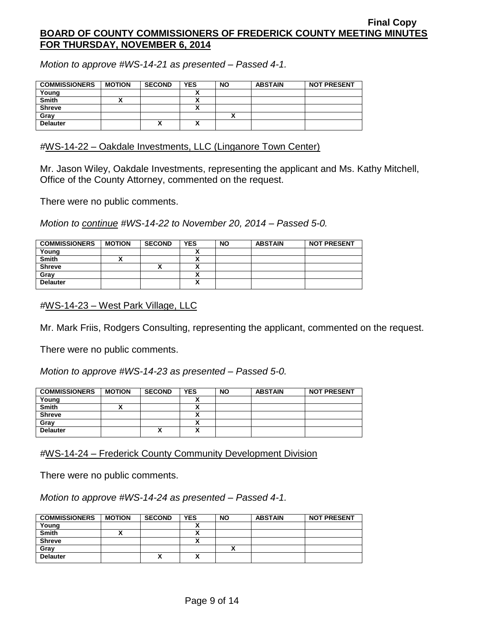*Motion to approve #WS-14-21 as presented – Passed 4-1.*

| <b>COMMISSIONERS</b> | <b>MOTION</b> | <b>SECOND</b> | <b>YES</b> | <b>NO</b> | <b>ABSTAIN</b> | <b>NOT PRESENT</b> |
|----------------------|---------------|---------------|------------|-----------|----------------|--------------------|
| Young                |               |               |            |           |                |                    |
| <b>Smith</b>         |               |               | ~          |           |                |                    |
| <b>Shreve</b>        |               |               |            |           |                |                    |
| Gray                 |               |               |            |           |                |                    |
| <b>Delauter</b>      |               | Λ             | Λ          |           |                |                    |

### *#*WS-14-22 – Oakdale Investments, LLC (Linganore Town Center)

Mr. Jason Wiley, Oakdale Investments, representing the applicant and Ms. Kathy Mitchell, Office of the County Attorney, commented on the request.

There were no public comments.

*Motion to continue #WS-14-22 to November 20, 2014 – Passed 5-0.*

| <b>COMMISSIONERS</b> | <b>MOTION</b> | <b>SECOND</b> | <b>YES</b>                | <b>NO</b> | <b>ABSTAIN</b> | <b>NOT PRESENT</b> |
|----------------------|---------------|---------------|---------------------------|-----------|----------------|--------------------|
| Young                |               |               |                           |           |                |                    |
| <b>Smith</b>         |               |               |                           |           |                |                    |
| <b>Shreve</b>        |               | ́             |                           |           |                |                    |
| Gray                 |               |               | n                         |           |                |                    |
| <b>Delauter</b>      |               |               | $\ddot{\phantom{1}}$<br>^ |           |                |                    |

*#*WS-14-23 – West Park Village, LLC

Mr. Mark Friis, Rodgers Consulting, representing the applicant, commented on the request.

There were no public comments.

*Motion to approve #WS-14-23 as presented – Passed 5-0.*

| <b>COMMISSIONERS</b> | <b>MOTION</b> | <b>SECOND</b> | <b>YES</b> | <b>NO</b> | <b>ABSTAIN</b> | <b>NOT PRESENT</b> |
|----------------------|---------------|---------------|------------|-----------|----------------|--------------------|
| Young                |               |               |            |           |                |                    |
| Smith                |               |               |            |           |                |                    |
| <b>Shreve</b>        |               |               |            |           |                |                    |
| Gray                 |               |               |            |           |                |                    |
| <b>Delauter</b>      |               | ,,            | ^          |           |                |                    |

*#*WS-14-24 – Frederick County Community Development Division

There were no public comments.

*Motion to approve #WS-14-24 as presented – Passed 4-1.*

| <b>COMMISSIONERS</b> | <b>MOTION</b> | <b>SECOND</b> | <b>YES</b> | <b>NO</b> | <b>ABSTAIN</b> | <b>NOT PRESENT</b> |
|----------------------|---------------|---------------|------------|-----------|----------------|--------------------|
| Young                |               |               |            |           |                |                    |
| Smith                |               |               |            |           |                |                    |
| <b>Shreve</b>        |               |               |            |           |                |                    |
| Gray                 |               |               |            |           |                |                    |
| <b>Delauter</b>      |               | ́             |            |           |                |                    |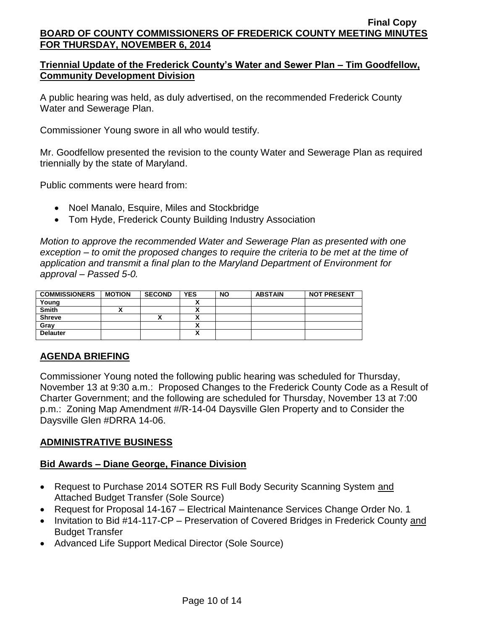# **Triennial Update of the Frederick County's Water and Sewer Plan – Tim Goodfellow, Community Development Division**

A public hearing was held, as duly advertised, on the recommended Frederick County Water and Sewerage Plan.

Commissioner Young swore in all who would testify.

Mr. Goodfellow presented the revision to the county Water and Sewerage Plan as required triennially by the state of Maryland.

Public comments were heard from:

- Noel Manalo, Esquire, Miles and Stockbridge
- Tom Hyde, Frederick County Building Industry Association

*Motion to approve the recommended Water and Sewerage Plan as presented with one exception – to omit the proposed changes to require the criteria to be met at the time of application and transmit a final plan to the Maryland Department of Environment for approval – Passed 5-0.*

| <b>COMMISSIONERS</b> | <b>MOTION</b> | <b>SECOND</b> | <b>YES</b> | <b>NO</b> | <b>ABSTAIN</b> | <b>NOT PRESENT</b> |
|----------------------|---------------|---------------|------------|-----------|----------------|--------------------|
| Young                |               |               |            |           |                |                    |
| <b>Smith</b>         |               |               |            |           |                |                    |
| <b>Shreve</b>        |               | '             |            |           |                |                    |
| Gray                 |               |               |            |           |                |                    |
| <b>Delauter</b>      |               |               | ́          |           |                |                    |

# **AGENDA BRIEFING**

Commissioner Young noted the following public hearing was scheduled for Thursday, November 13 at 9:30 a.m.: Proposed Changes to the Frederick County Code as a Result of Charter Government; and the following are scheduled for Thursday, November 13 at 7:00 p.m.: Zoning Map Amendment #/R-14-04 Daysville Glen Property and to Consider the Daysville Glen #DRRA 14-06.

# **ADMINISTRATIVE BUSINESS**

# **Bid Awards – Diane George, Finance Division**

- Request to Purchase 2014 SOTER RS Full Body Security Scanning System and Attached Budget Transfer (Sole Source)
- Request for Proposal 14-167 Electrical Maintenance Services Change Order No. 1
- Invitation to Bid #14-117-CP Preservation of Covered Bridges in Frederick County and Budget Transfer
- Advanced Life Support Medical Director (Sole Source)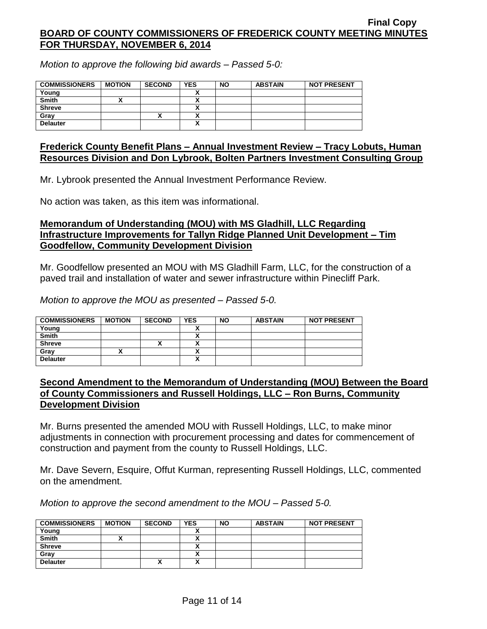*Motion to approve the following bid awards – Passed 5-0:*

| <b>COMMISSIONERS</b> | <b>MOTION</b> | <b>SECOND</b> | <b>YES</b> | <b>NO</b> | <b>ABSTAIN</b> | <b>NOT PRESENT</b> |
|----------------------|---------------|---------------|------------|-----------|----------------|--------------------|
| Young                |               |               |            |           |                |                    |
| <b>Smith</b>         |               |               |            |           |                |                    |
| <b>Shreve</b>        |               |               |            |           |                |                    |
| Gray                 |               | ^             |            |           |                |                    |
| <b>Delauter</b>      |               |               | Δ          |           |                |                    |

#### **Frederick County Benefit Plans – Annual Investment Review – Tracy Lobuts, Human Resources Division and Don Lybrook, Bolten Partners Investment Consulting Group**

Mr. Lybrook presented the Annual Investment Performance Review.

No action was taken, as this item was informational.

### **Memorandum of Understanding (MOU) with MS Gladhill, LLC Regarding Infrastructure Improvements for Tallyn Ridge Planned Unit Development – Tim Goodfellow, Community Development Division**

Mr. Goodfellow presented an MOU with MS Gladhill Farm, LLC, for the construction of a paved trail and installation of water and sewer infrastructure within Pinecliff Park.

*Motion to approve the MOU as presented – Passed 5-0.*

| <b>COMMISSIONERS</b> | <b>MOTION</b> | <b>SECOND</b> | <b>YES</b> | <b>NO</b> | <b>ABSTAIN</b> | <b>NOT PRESENT</b> |
|----------------------|---------------|---------------|------------|-----------|----------------|--------------------|
| Young                |               |               |            |           |                |                    |
| <b>Smith</b>         |               |               |            |           |                |                    |
| <b>Shreve</b>        |               |               |            |           |                |                    |
| Gray                 |               |               |            |           |                |                    |
| <b>Delauter</b>      |               |               | Λ          |           |                |                    |

## **Second Amendment to the Memorandum of Understanding (MOU) Between the Board of County Commissioners and Russell Holdings, LLC – Ron Burns, Community Development Division**

Mr. Burns presented the amended MOU with Russell Holdings, LLC, to make minor adjustments in connection with procurement processing and dates for commencement of construction and payment from the county to Russell Holdings, LLC.

Mr. Dave Severn, Esquire, Offut Kurman, representing Russell Holdings, LLC, commented on the amendment.

*Motion to approve the second amendment to the MOU – Passed 5-0.*

| <b>COMMISSIONERS</b> | <b>MOTION</b> | <b>SECOND</b> | <b>YES</b> | <b>NO</b> | <b>ABSTAIN</b> | <b>NOT PRESENT</b> |
|----------------------|---------------|---------------|------------|-----------|----------------|--------------------|
| Young                |               |               |            |           |                |                    |
| <b>Smith</b>         |               |               |            |           |                |                    |
| <b>Shreve</b>        |               |               |            |           |                |                    |
| Gray                 |               |               |            |           |                |                    |
| <b>Delauter</b>      |               | Δ             | ~          |           |                |                    |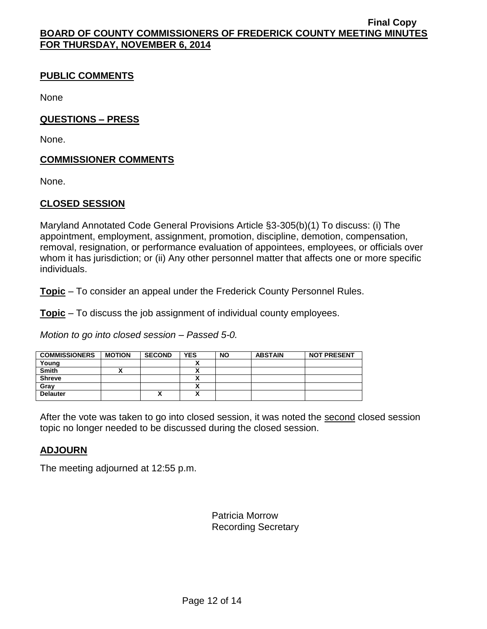# **PUBLIC COMMENTS**

None

# **QUESTIONS – PRESS**

None.

# **COMMISSIONER COMMENTS**

None.

## **CLOSED SESSION**

Maryland Annotated Code General Provisions Article §3-305(b)(1) To discuss: (i) The appointment, employment, assignment, promotion, discipline, demotion, compensation, removal, resignation, or performance evaluation of appointees, employees, or officials over whom it has jurisdiction; or (ii) Any other personnel matter that affects one or more specific individuals.

**Topic** – To consider an appeal under the Frederick County Personnel Rules.

**Topic** – To discuss the job assignment of individual county employees.

*Motion to go into closed session – Passed 5-0.*

| <b>COMMISSIONERS</b> | <b>MOTION</b> | <b>SECOND</b> | <b>YES</b>   | <b>NO</b> | <b>ABSTAIN</b> | <b>NOT PRESENT</b> |
|----------------------|---------------|---------------|--------------|-----------|----------------|--------------------|
| Young                |               |               |              |           |                |                    |
| <b>Smith</b>         |               |               |              |           |                |                    |
| <b>Shreve</b>        |               |               |              |           |                |                    |
| Gray                 |               |               | ~            |           |                |                    |
| <b>Delauter</b>      |               | ́             | $\mathbf{v}$ |           |                |                    |

After the vote was taken to go into closed session, it was noted the second closed session topic no longer needed to be discussed during the closed session.

# **ADJOURN**

The meeting adjourned at 12:55 p.m.

Patricia Morrow Recording Secretary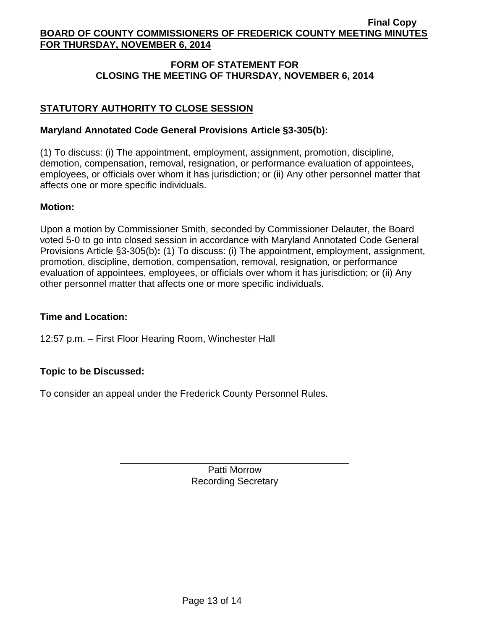# **FORM OF STATEMENT FOR CLOSING THE MEETING OF THURSDAY, NOVEMBER 6, 2014**

# **STATUTORY AUTHORITY TO CLOSE SESSION**

# **Maryland Annotated Code General Provisions Article §3-305(b):**

(1) To discuss: (i) The appointment, employment, assignment, promotion, discipline, demotion, compensation, removal, resignation, or performance evaluation of appointees, employees, or officials over whom it has jurisdiction; or (ii) Any other personnel matter that affects one or more specific individuals.

## **Motion:**

Upon a motion by Commissioner Smith, seconded by Commissioner Delauter, the Board voted 5-0 to go into closed session in accordance with Maryland Annotated Code General Provisions Article §3-305(b)**:** (1) To discuss: (i) The appointment, employment, assignment, promotion, discipline, demotion, compensation, removal, resignation, or performance evaluation of appointees, employees, or officials over whom it has jurisdiction; or (ii) Any other personnel matter that affects one or more specific individuals.

# **Time and Location:**

12:57 p.m. – First Floor Hearing Room, Winchester Hall

# **Topic to be Discussed:**

To consider an appeal under the Frederick County Personnel Rules.

Patti Morrow Recording Secretary